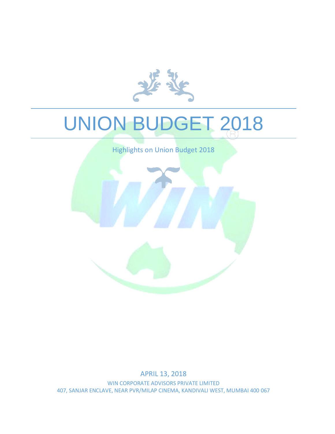

# UNION BUDGET 2018

Highlights on Union Budget 2018



APRIL 13, 2018 WIN CORPORATE ADVISORS PRIVATE LIMITED 407, SANJAR ENCLAVE, NEAR PVR/MILAP CINEMA, KANDIVALI WEST, MUMBAI 400 067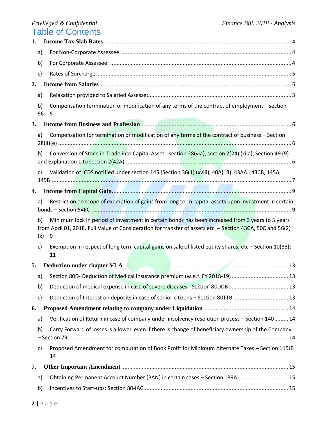| 1. |                                                                                                                                                                                                                                  |                                                                                                              |  |  |
|----|----------------------------------------------------------------------------------------------------------------------------------------------------------------------------------------------------------------------------------|--------------------------------------------------------------------------------------------------------------|--|--|
|    | a)                                                                                                                                                                                                                               |                                                                                                              |  |  |
|    | b)                                                                                                                                                                                                                               |                                                                                                              |  |  |
|    | c)                                                                                                                                                                                                                               |                                                                                                              |  |  |
| 2. |                                                                                                                                                                                                                                  |                                                                                                              |  |  |
|    | a)                                                                                                                                                                                                                               |                                                                                                              |  |  |
|    | b)<br>56:5                                                                                                                                                                                                                       | Compensation termination or modification of any terms of the contract of employment – section                |  |  |
| 3. |                                                                                                                                                                                                                                  |                                                                                                              |  |  |
|    | a)                                                                                                                                                                                                                               | Compensation for termination or modification of any terms of the contract of business - Section              |  |  |
|    | b)                                                                                                                                                                                                                               | Conversion of Stock-in-Trade into Capital Asset - section 28(via), section 2(24) (xiia), Section 49 (9)      |  |  |
|    | c)                                                                                                                                                                                                                               | Validation of ICDS notified under section 145 [Section 36(1) (xviii), 40A(13), 43AA, 43CB, 145A,             |  |  |
| 4. |                                                                                                                                                                                                                                  |                                                                                                              |  |  |
|    | a)                                                                                                                                                                                                                               | Restriction on scope of exemption of gains from long term capital assets upon investment in certain          |  |  |
|    | Minimum lock in period of investment in certain bonds has been increased from 3 years to 5 years<br>b)<br>from April 01, 2018. Full Value of Consideration for transfer of assets etc. - Section 43CA, 50C and 56(2)<br>(x)<br>9 |                                                                                                              |  |  |
|    | c)                                                                                                                                                                                                                               |                                                                                                              |  |  |
|    |                                                                                                                                                                                                                                  | Exemption in respect of long term capital gains on sale of listed equity shares, etc - Section 10(38):<br>11 |  |  |
| 5. |                                                                                                                                                                                                                                  |                                                                                                              |  |  |
|    | a)                                                                                                                                                                                                                               | Section 80D- Deduction of Medical Insurance premium (w.e.f. FY 2018-19)  13                                  |  |  |
|    | b)                                                                                                                                                                                                                               | Deduction of medical expense in case of severe diseases - Section 80DDB 13                                   |  |  |
|    | c)                                                                                                                                                                                                                               | Deduction of Interest on deposits in case of senior citizens - Section 80TTB  13                             |  |  |
| 6. |                                                                                                                                                                                                                                  |                                                                                                              |  |  |
|    | a)                                                                                                                                                                                                                               | Verification of Return in case of company under insolvency resolution process - Section 140 14               |  |  |
|    | b)                                                                                                                                                                                                                               | Carry Forward of losses is allowed even if there is change of beneficiary ownership of the Company           |  |  |
|    | c)                                                                                                                                                                                                                               | Proposed Amendment for computation of Book Profit for Minimum Alternate Taxes - Section 115JB<br>14          |  |  |
| 7. |                                                                                                                                                                                                                                  |                                                                                                              |  |  |
|    | a)                                                                                                                                                                                                                               | Obtaining Permanent Account Number (PAN) in certain cases - Section 139A  15                                 |  |  |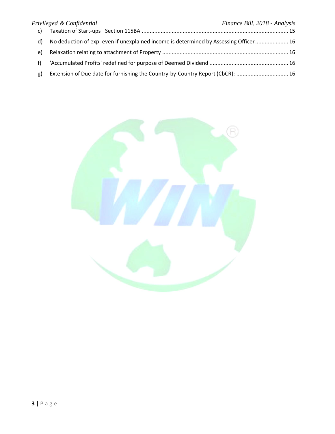|    | Privileged & Confidential                                                             | Finance Bill, 2018 - Analysis |
|----|---------------------------------------------------------------------------------------|-------------------------------|
| c) |                                                                                       |                               |
| d) | No deduction of exp. even if unexplained income is determined by Assessing Officer 16 |                               |
| e) |                                                                                       |                               |
|    |                                                                                       |                               |
| g) | Extension of Due date for furnishing the Country-by-Country Report (CbCR):  16        |                               |

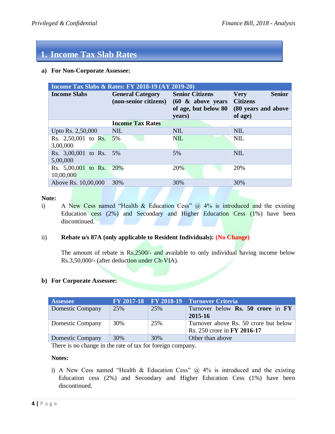# **1. Income Tax Slab Rates**

#### <span id="page-3-0"></span>**a) For Non-Corporate Assessee:**

| <b>Income Tax Slabs &amp; Rates: FY 2018-19 (AY 2019-20)</b> |                         |                                                                                                                 |                                                                                   |  |  |  |
|--------------------------------------------------------------|-------------------------|-----------------------------------------------------------------------------------------------------------------|-----------------------------------------------------------------------------------|--|--|--|
| <b>Income Slabs</b>                                          | <b>General Category</b> | <b>Senior Citizens</b><br>(non-senior citizens) $(60 \& above \text{ years})$<br>of age, but below 80<br>years) | <b>Senior</b><br><b>Very</b><br><b>Citizens</b><br>(80 years and above<br>of age) |  |  |  |
|                                                              | <b>Income Tax Rates</b> |                                                                                                                 |                                                                                   |  |  |  |
| Upto Rs. 2,50,000                                            | NIL                     | <b>NIL</b>                                                                                                      | <b>NIL</b>                                                                        |  |  |  |
| Rs. 2,50,001 to Rs.<br>3,00,000                              | 5%                      | NIL                                                                                                             | NIL                                                                               |  |  |  |
| Rs. 3,00,001 to Rs. 5%<br>5,00,000                           |                         | 5%                                                                                                              | <b>NIL</b>                                                                        |  |  |  |
| Rs. $5,00,001$ to Rs.<br>10,00,000                           | <b>20%</b>              | 20%                                                                                                             | 20%                                                                               |  |  |  |
| Above Rs. 10,00,000                                          | 30%                     | 30%                                                                                                             | 30%                                                                               |  |  |  |

#### **Note:**

i) A New Cess named "Health & Education Cess"  $(a)$  4% is introduced and the existing Education cess (2%) and Secondary and Higher Education Cess (1%) have been discontinued.

#### ii) **Rebate u/s 87A (only applicable to Resident Individuals): (No Change)**

The amount of rebate is Rs.2500/- and available to only individual having income below Rs.3,50,000/- (after deduction under Ch-VIA).

#### <span id="page-3-1"></span>**b) For Corporate Assessee:**

| <b>Assessee</b>         |     |     | FY 2017-18 FY 2018-19 Turnover Criteria  |
|-------------------------|-----|-----|------------------------------------------|
| <b>Domestic Company</b> | 25% | 25% | Turnover below <b>Rs. 50 crore</b> in FY |
|                         |     |     | 2015-16                                  |
| Domestic Company        | 30% | 25% | Turnover above Rs. 50 crore but below    |
|                         |     |     | Rs. 250 crore in FY 2016-17              |
| Domestic Company        | 30% | 30% | Other than above                         |

There is no change in the rate of tax for foreign company.

#### **Notes:**

i) A New Cess named "Health & Education Cess"  $@$  4% is introduced and the existing Education cess (2%) and Secondary and Higher Education Cess (1%) have been discontinued.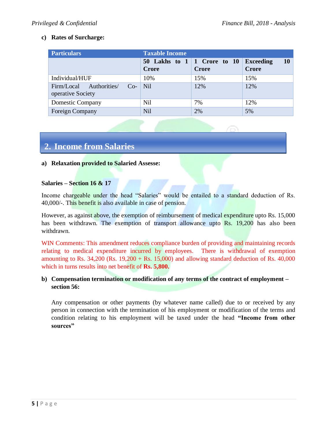## <span id="page-4-0"></span>**c) Rates of Surcharge:**

| <b>Particulars</b>                                    | <b>Taxable Income</b> |                                                      |                                               |  |  |
|-------------------------------------------------------|-----------------------|------------------------------------------------------|-----------------------------------------------|--|--|
|                                                       | Crore                 | 50 Lakhs to $1 \mid 1$ Crore to $10$<br><b>Crore</b> | <b>10</b><br><b>Exceeding</b><br><b>Crore</b> |  |  |
| Individual/HUF                                        | 10%                   | 15%                                                  | 15%                                           |  |  |
| Firm/Local Authorities/<br>$Co-$<br>operative Society | N <sub>il</sub>       | 12%                                                  | 12%                                           |  |  |
| <b>Domestic Company</b>                               | Nil                   | 7%                                                   | 12%                                           |  |  |
| <b>Foreign Company</b>                                | Nil                   | 2%                                                   | 5%                                            |  |  |

# **2. Income from Salaries**

#### <span id="page-4-1"></span>**a) Relaxation provided to Salaried Assesse:**

#### **Salaries – Section 16 & 17**

Income chargeable under the head "Salaries" would be entailed to a standard deduction of Rs. 40,000/-. This benefit is also available in case of pension.

However, as against above, the exemption of reimbursement of medical expenditure upto Rs. 15,000 has been withdrawn. The exemption of transport allowance upto Rs. 19,200 has also been withdrawn.

WIN Comments: This amendment reduces compliance burden of providing and maintaining records relating to medical expenditure incurred by employees. There is withdrawal of exemption amounting to Rs.  $34,200$  (Rs.  $19,200 + \text{Rs}$ .  $15,000$ ) and allowing standard deduction of Rs.  $40,000$ which in turns results into net benefit of **Rs. 5,800.**

#### <span id="page-4-2"></span>**b) Compensation termination or modification of any terms of the contract of employment – section 56:**

Any compensation or other payments (by whatever name called) due to or received by any person in connection with the termination of his employment or modification of the terms and condition relating to his employment will be taxed under the head **"Income from other sources"**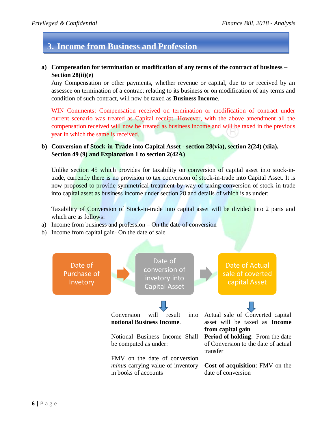# **3. Income from Business and Profession**

### <span id="page-5-0"></span>**a) Compensation for termination or modification of any terms of the contract of business – Section 28(ii)(e)**

Any Compensation or other payments, whether revenue or capital, due to or received by an assessee on termination of a contract relating to its business or on modification of any terms and condition of such contract, will now be taxed as **Business Income**.

WIN Comments: Compensation received on termination or modification of contract under current scenario was treated as Capital receipt. However, with the above amendment all the compensation received will now be treated as business income and will be taxed in the previous year in which the same is received.

## <span id="page-5-1"></span>**b) Conversion of Stock-in-Trade into Capital Asset - section 28(via), section 2(24) (xiia), Section 49 (9) and Explanation 1 to section 2(42A)**

Unlike section 45 which provides for taxability on conversion of capital asset into stock-intrade, currently there is no provision to tax conversion of stock-in-trade into Capital Asset. It is now proposed to provide symmetrical treatment by way of taxing conversion of stock-in-trade into capital asset as business income under section 28 and details of which is as under:

Taxability of Conversion of Stock-in-trade into capital asset will be divided into 2 parts and which are as follows:

- a) Income from business and profession On the date of conversion
- b) Income from capital gain- On the date of sale

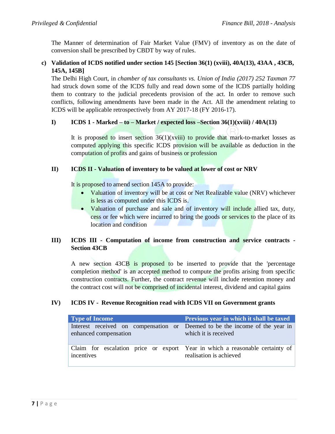The Manner of determination of Fair Market Value (FMV) of inventory as on the date of conversion shall be prescribed by CBDT by way of rules.

## <span id="page-6-0"></span>**c) Validation of ICDS notified under section 145 [Section 36(1) (xviii), 40A(13), 43AA , 43CB, 145A, 145B]**

The Delhi High Court, in *chamber of tax consultants vs. Union of India (2017) 252 Taxman 77* had struck down some of the ICDS fully and read down some of the ICDS partially holding them to contrary to the judicial precedents provision of the act. In order to remove such conflicts, following amendments have been made in the Act. All the amendment relating to ICDS will be applicable retrospectively from AY 2017-18 (FY 2016-17).

# **I) ICDS 1 - Marked – to – Market / expected loss –Section 36(1)(xviii) / 40A(13)**

It is proposed to insert section  $36(1)(x$ viii) to provide that mark-to-market losses as computed applying this specific ICDS provision will be available as deduction in the computation of profits and gains of business or profession

## **II) ICDS II - Valuation of inventory to be valued at lower of cost or NRV**

It is proposed to amend section 145A to provide:

- Valuation of inventory will be at cost or Net Realizable value (NRV) whichever is less as computed under this ICDS is.
- Valuation of purchase and sale and of inventory will include allied tax, duty, cess or fee which were incurred to bring the goods or services to the place of its location and condition

# **III) ICDS III - Computation of income from construction and service contracts - Section 43CB**

A new section 43CB is proposed to be inserted to provide that the 'percentage completion method' is an accepted method to compute the profits arising from specific construction contracts. Further, the contract revenue will include retention money and the contract cost will not be comprised of incidental interest, dividend and capital gains

## **IV) ICDS IV - Revenue Recognition read with ICDS VII on Government grants**

| <b>Type of Income</b>                                                                                | Previous year in which it shall be taxed |  |
|------------------------------------------------------------------------------------------------------|------------------------------------------|--|
| Interest received on compensation or Deemed to be the income of the year in<br>enhanced compensation | which it is received                     |  |
| Claim for escalation price or export Year in which a reasonable certainty of<br>incentives           | realisation is achieved                  |  |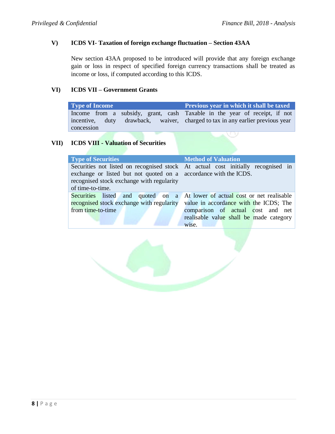#### **V) ICDS VI- Taxation of foreign exchange fluctuation – Section 43AA**

New section 43AA proposed to be introduced will provide that any foreign exchange gain or loss in respect of specified foreign currency transactions shall be treated as income or loss, if computed according to this ICDS.

#### **VI) ICDS VII – Government Grants**

**Type of Income Previous year in which it shall be taxed** Income from a subsidy, grant, cash incentive, duty drawback, waiver, concession Taxable in the year of receipt, if not charged to tax in any earlier previous year

# **VII) ICDS VIII - Valuation of Securities**

| <b>Type of Securities</b>                                        | <b>Method of Valuation</b>                                                       |  |  |
|------------------------------------------------------------------|----------------------------------------------------------------------------------|--|--|
|                                                                  | Securities not listed on recognised stock At actual cost initially recognised in |  |  |
| exchange or listed but not quoted on a accordance with the ICDS. |                                                                                  |  |  |
| recognised stock exchange with regularity                        |                                                                                  |  |  |
| of time-to-time.                                                 |                                                                                  |  |  |
|                                                                  | Securities listed and quoted on a At lower of actual cost or net realisable      |  |  |
|                                                                  | recognised stock exchange with regularity value in accordance with the ICDS; The |  |  |
| from time-to-time                                                | comparison of actual cost and net                                                |  |  |
|                                                                  | realisable value shall be made category                                          |  |  |
|                                                                  | wise.                                                                            |  |  |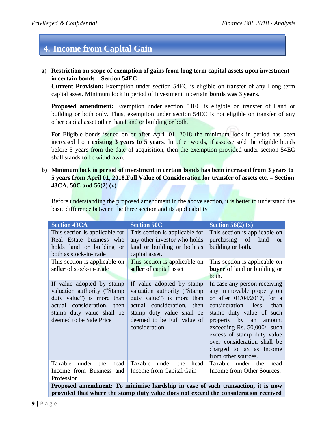# **4. Income from Capital Gain**

#### <span id="page-8-0"></span>**a) Restriction on scope of exemption of gains from long term capital assets upon investment in certain bonds – Section 54EC**

**Current Provision:** Exemption under section 54EC is eligible on transfer of any Long term capital asset. Minimum lock in period of investment in certain **bonds was 3 years**.

**Proposed amendment:** Exemption under section 54EC is eligible on transfer of Land or building or both only. Thus, exemption under section 54EC is not eligible on transfer of any other capital asset other than Land or building or both.

For Eligible bonds issued on or after April 01, 2018 the minimum lock in period has been increased from **existing 3 years to 5 years**. In other words, if assesse sold the eligible bonds before 5 years from the date of acquisition, then the exemption provided under section 54EC shall stands to be withdrawn.

<span id="page-8-1"></span>**b) Minimum lock in period of investment in certain bonds has been increased from 3 years to 5 years from April 01, 2018.Full Value of Consideration for transfer of assets etc. – Section 43CA, 50C and 56(2) (x)**

Before understanding the proposed amendment in the above section, it is better to understand the basic difference between the three section and its applicability

| <b>Section 43CA</b>                                                                                                                                                          | <b>Section 50C</b>                                                                                                                                                                                | Section 56(2) $(x)$                                                                                                                                                                                                                                                                                                             |  |  |  |
|------------------------------------------------------------------------------------------------------------------------------------------------------------------------------|---------------------------------------------------------------------------------------------------------------------------------------------------------------------------------------------------|---------------------------------------------------------------------------------------------------------------------------------------------------------------------------------------------------------------------------------------------------------------------------------------------------------------------------------|--|--|--|
| This section is applicable for<br>Real Estate business who<br>holds land or building or<br>both as stock-in-trade                                                            | This section is applicable for<br>any other investor who holds<br>land or building or both as<br>capital asset.                                                                                   | This section is applicable on<br>purchasing of<br>land<br><b>or</b><br>building or both.                                                                                                                                                                                                                                        |  |  |  |
| This section is applicable on<br>seller of stock-in-trade                                                                                                                    | This section is applicable on<br>seller of capital asset                                                                                                                                          | This section is applicable on<br><b>buyer</b> of land or building or<br>both.                                                                                                                                                                                                                                                   |  |  |  |
| If value adopted by stamp<br>valuation authority ("Stamp"<br>duty value") is more than<br>actual consideration, then<br>stamp duty value shall be<br>deemed to be Sale Price | If value adopted by stamp<br>valuation authority ("Stamp"<br>duty value") is more than<br>actual consideration, then<br>stamp duty value shall be<br>deemed to be Full value of<br>consideration. | In case any person receiving<br>any immovable property on<br>or after $01/04/2017$ , for a<br>consideration less<br>than<br>stamp duty value of such<br>property by an<br>amount<br>exceeding Rs. 50,000/- such<br>excess of stamp duty value<br>over consideration shall be<br>charged to tax as Income<br>from other sources. |  |  |  |
| Taxable<br>under<br>head<br>the<br>Income from Business and<br>Profession                                                                                                    | Taxable<br>under<br>the<br>head<br>Income from Capital Gain                                                                                                                                       | Taxable under the head<br>Income from Other Sources.                                                                                                                                                                                                                                                                            |  |  |  |
| Proposed amendment: To minimise hardship in case of such transaction, it is now                                                                                              |                                                                                                                                                                                                   |                                                                                                                                                                                                                                                                                                                                 |  |  |  |

**provided that where the stamp duty value does not exceed the consideration received**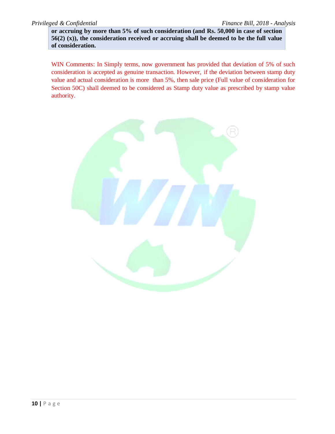**or accruing by more than 5% of such consideration (and Rs. 50,000 in case of section 56(2) (x)), the consideration received or accruing shall be deemed to be the full value of consideration.** 

WIN Comments: In Simply terms, now government has provided that deviation of 5% of such consideration is accepted as genuine transaction. However, if the deviation between stamp duty value and actual consideration is more than 5%, then sale price (Full value of consideration for Section 50C) shall deemed to be considered as Stamp duty value as prescribed by stamp value authority.

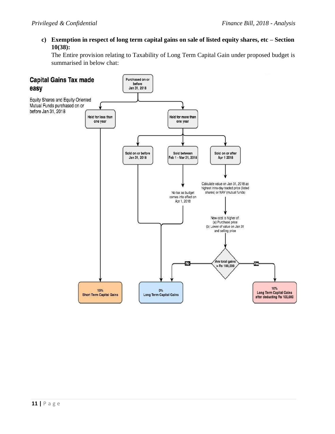<span id="page-10-0"></span>**c) Exemption in respect of long term capital gains on sale of listed equity shares, etc – Section 10(38):**

The Entire provision relating to Taxability of Long Term Capital Gain under proposed budget is summarised in below chat:

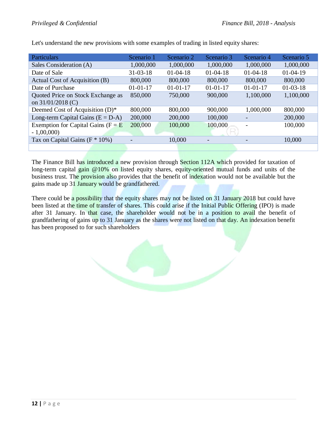| Particulars                           | Scenario 1     | Scenario 2     | Scenario 3     | Scenario 4     | Scenario 5 |
|---------------------------------------|----------------|----------------|----------------|----------------|------------|
| Sales Consideration (A)               | 1,000,000      | 1,000,000      | 1,000,000      | 1,000,000      | 1,000,000  |
| Date of Sale                          | $31 - 03 - 18$ | $01 - 04 - 18$ | $01 - 04 - 18$ | $01-04-18$     | $01-04-19$ |
| Actual Cost of Acquisition (B)        | 800,000        | 800,000        | 800,000        | 800,000        | 800,000    |
| Date of Purchase                      | $01 - 01 - 17$ | $01 - 01 - 17$ | $01 - 01 - 17$ | $01 - 01 - 17$ | $01-03-18$ |
| Quoted Price on Stock Exchange as     | 850,000        | 750,000        | 900,000        | 1,100,000      | 1,100,000  |
| on 31/01/2018 (C)                     |                |                |                |                |            |
| Deemed Cost of Acquisition (D)*       | 800,000        | 800,000        | 900,000        | 1,000,000      | 800,000    |
| Long-term Capital Gains $(E = D-A)$   | 200,000        | 200,000        | 100,000        |                | 200,000    |
| Exemption for Capital Gains ( $F = E$ | 200,000        | 100,000        | 100,000        |                | 100,000    |
| $-1,00,000$                           |                |                |                |                |            |
| Tax on Capital Gains ( $F * 10\%$ )   |                | 10,000         |                |                | 10,000     |
|                                       |                |                |                |                |            |

Let's understand the new provisions with some examples of trading in listed equity shares:

The Finance Bill has introduced a new provision through Section 112A which provided for taxation of long-term capital gain @10% on listed equity shares, equity-oriented mutual funds and units of the business trust. The provision also provides that the benefit of indexation would not be available but the gains made up 31 January would be grandfathered.

There could be a possibility that the equity shares may not be listed on 31 January 2018 but could have been listed at the time of transfer of shares. This could arise if the Initial Public Offering (IPO) is made after 31 January. In that case, the shareholder would not be in a position to avail the benefit of grandfathering of gains up to 31 January as the shares were not listed on that day. An indexation benefit has been proposed to for such shareholders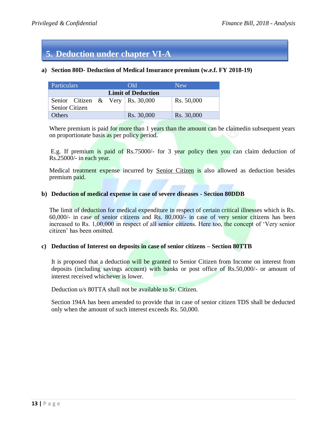# **5. Deduction under chapter VI-A**

#### <span id="page-12-0"></span>**a) Section 80D- Deduction of Medical Insurance premium (w.e.f. FY 2018-19)**

| Particulars                                                 |  |  | Old.                      | <b>New</b> |
|-------------------------------------------------------------|--|--|---------------------------|------------|
|                                                             |  |  | <b>Limit of Deduction</b> |            |
| Senior Citizen & Very   Rs. 30,000<br><b>Senior Citizen</b> |  |  |                           | Rs. 50,000 |
| <b>Others</b>                                               |  |  | Rs. 30,000                | Rs. 30,000 |

Where premium is paid for more than 1 years than the amount can be claimedin subsequent years on proportionate basis as per policy period.

E.g. If premium is paid of Rs.75000/- for 3 year policy then you can claim deduction of Rs.25000/- in each year.

Medical treatment expense incurred by Senior Citizen is also allowed as deduction besides premium paid.

#### <span id="page-12-1"></span>**b) Deduction of medical expense in case of severe diseases - Section 80DDB**

The limit of deduction for medical expenditure in respect of certain critical illnesses which is Rs. 60,000/- in case of senior citizens and Rs. 80,000/- in case of very senior citizens has been increased to Rs. 1,00,000 in respect of all senior citizens. Here too, the concept of "Very senior citizen" has been omitted.

#### <span id="page-12-2"></span>**c) Deduction of Interest on deposits in case of senior citizens – Section 80TTB**

It is proposed that a deduction will be granted to Senior Citizen from Income on interest from deposits (including savings account) with banks or post office of Rs.50,000/- or amount of interest received whichever is lower.

Deduction u/s 80TTA shall not be available to Sr. Citizen.

Section 194A has been amended to provide that in case of senior citizen TDS shall be deducted only when the amount of such interest exceeds Rs. 50,000.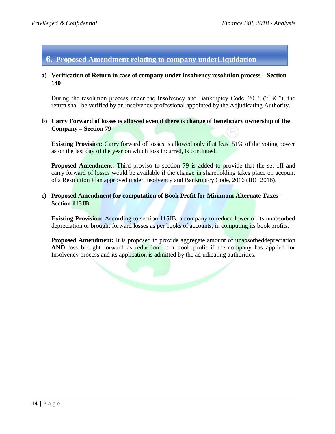# **6. Proposed Amendment relating to company underLiquidation**

#### <span id="page-13-0"></span>**a) Verification of Return in case of company under insolvency resolution process – Section 140**

During the resolution process under the Insolvency and Bankruptcy Code, 2016 ("IBC"), the return shall be verified by an insolvency professional appointed by the Adjudicating Authority.

#### <span id="page-13-1"></span>**b) Carry Forward of losses is allowed even if there is change of beneficiary ownership of the Company – Section 79**

**Existing Provision:** Carry forward of losses is allowed only if at least 51% of the voting power as on the last day of the year on which loss incurred, is continued.

**Proposed Amendment:** Third proviso to section 79 is added to provide that the set-off and carry forward of losses would be available if the change in shareholding takes place on account of a Resolution Plan approved under Insolvency and Bankruptcy Code, 2016 (IBC 2016).

#### <span id="page-13-2"></span>**c) Proposed Amendment for computation of Book Profit for Minimum Alternate Taxes – Section 115JB**

**Existing Provision:** According to section 115JB, a company to reduce lower of its unabsorbed depreciation or brought forward losses as per books of accounts, in computing its book profits.

**Proposed Amendment:** It is proposed to provide aggregate amount of unabsorbeddepreciation **AND** loss brought forward as reduction from book profit if the company has applied for Insolvency process and its application is admitted by the adjudicating authorities.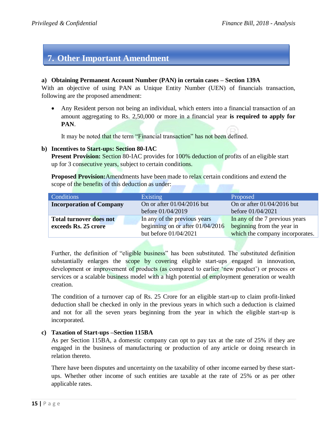# **7. Other Important Amendment**

#### <span id="page-14-0"></span>**a) Obtaining Permanent Account Number (PAN) in certain cases – Section 139A**

With an objective of using PAN as Unique Entity Number (UEN) of financials transaction, following are the proposed amendment:

 Any Resident person not being an individual, which enters into a financial transaction of an amount aggregating to Rs. 2,50,000 or more in a financial year **is required to apply for PAN**.

It may be noted that the term "Financial transaction" has not been defined.

#### <span id="page-14-1"></span>**b) Incentives to Start-ups: Section 80-IAC**

**Present Provision:** Section 80-IAC provides for 100% deduction of profits of an eligible start up for 3 consecutive years, subject to certain conditions.

**Proposed Provision:**Amendments have been made to relax certain conditions and extend the scope of the benefits of this deduction as under:

| Conditions                      | <b>Existing</b>                    | Proposed                        |  |
|---------------------------------|------------------------------------|---------------------------------|--|
| <b>Incorporation of Company</b> | On or after $01/04/2016$ but       | On or after $01/04/2016$ but    |  |
|                                 | before 01/04/2019                  | before 01/04/2021               |  |
| <b>Total turnover does not</b>  | In any of the previous years       | In any of the 7 previous years  |  |
| exceeds Rs. 25 crore            | beginning on or after $01/04/2016$ | beginning from the year in      |  |
|                                 | but before 01/04/2021              | which the company incorporates. |  |

Further, the definition of "eligible business" has been substituted. The substituted definition substantially enlarges the scope by covering eligible start-ups engaged in innovation, development or improvement of products (as compared to earlier 'new product') or process or services or a scalable business model with a high potential of employment generation or wealth creation.

The condition of a turnover cap of Rs. 25 Crore for an eligible start-up to claim profit-linked deduction shall be checked in only in the previous years in which such a deduction is claimed and not for all the seven years beginning from the year in which the eligible start-up is incorporated.

#### <span id="page-14-2"></span>**c) Taxation of Start-ups –Section 115BA**

As per Section 115BA, a domestic company can opt to pay tax at the rate of 25% if they are engaged in the business of manufacturing or production of any article or doing research in relation thereto.

There have been disputes and uncertainty on the taxability of other income earned by these startups. Whether other income of such entities are taxable at the rate of 25% or as per other applicable rates.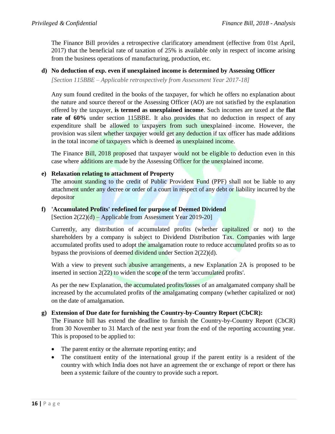The Finance Bill provides a retrospective clarificatory amendment (effective from 01st April, 2017) that the beneficial rate of taxation of 25% is available only in respect of income arising from the business operations of manufacturing, production, etc.

#### <span id="page-15-0"></span>**d) No deduction of exp. even if unexplained income is determined by Assessing Officer**

*[Section 115BBE – Applicable retrospectively from Assessment Year 2017-18]*

Any sum found credited in the books of the taxpayer, for which he offers no explanation about the nature and source thereof or the Assessing Officer (AO) are not satisfied by the explanation offered by the taxpayer, **is termed as unexplained income**. Such incomes are taxed at the **flat rate of 60%** under section 115BBE. It also provides that no deduction in respect of any expenditure shall be allowed to taxpayers from such unexplained income. However, the provision was silent whether taxpayer would get any deduction if tax officer has made additions in the total income of taxpayers which is deemed as unexplained income.

The Finance Bill, 2018 proposed that taxpayer would not be eligible to deduction even in this case where additions are made by the Assessing Officer for the unexplained income.

### <span id="page-15-1"></span>**e) Relaxation relating to attachment of Property**

The amount standing to the credit of Public Provident Fund (PPF) shall not be liable to any attachment under any decree or order of a court in respect of any debt or liability incurred by the depositor

### <span id="page-15-2"></span>**f) 'Accumulated Profits' redefined for purpose of Deemed Dividend**

[Section 2(22)(d) – Applicable from Assessment Year 2019-20]

Currently, any distribution of accumulated profits (whether capitalized or not) to the shareholders by a company is subject to Dividend Distribution Tax. Companies with large accumulated profits used to adopt the amalgamation route to reduce accumulated profits so as to bypass the provisions of deemed dividend under Section 2(22)(d).

With a view to prevent such abusive arrangements, a new Explanation 2A is proposed to be inserted in section 2(22) to widen the scope of the term 'accumulated profits'.

As per the new Explanation, the accumulated profits/losses of an amalgamated company shall be increased by the accumulated profits of the amalgamating company (whether capitalized or not) on the date of amalgamation.

#### <span id="page-15-3"></span>**g) Extension of Due date for furnishing the Country-by-Country Report (CbCR):**

The Finance bill has extend the deadline to furnish the Country-by-Country Report (CbCR) from 30 November to 31 March of the next year from the end of the reporting accounting year. This is proposed to be applied to:

- The parent entity or the alternate reporting entity; and
- The constituent entity of the international group if the parent entity is a resident of the country with which India does not have an agreement the or exchange of report or there has been a systemic failure of the country to provide such a report.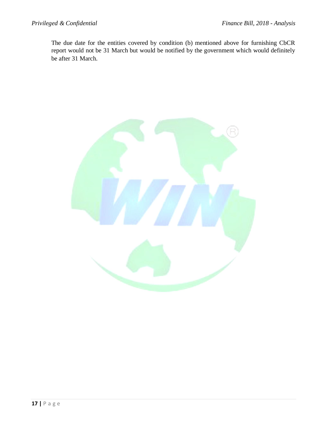The due date for the entities covered by condition (b) mentioned above for furnishing CbCR report would not be 31 March but would be notified by the government which would definitely be after 31 March.